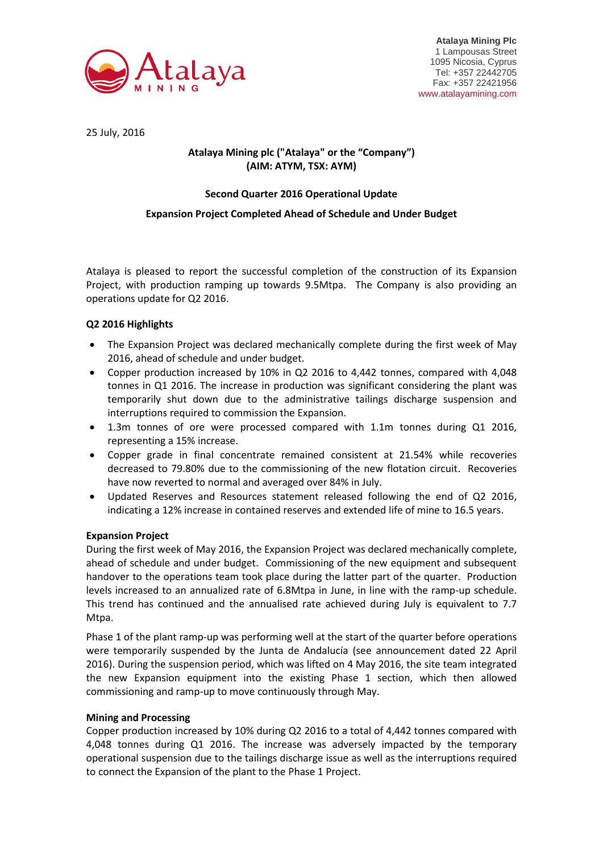

**Atalaya Mining Plc** 1 Lampousas Street 1095 Nicosia, Cyprus Tel: +357 22442705 Fax: +357 22421956 www.atalayamining.com

25 July, 2016

# **Atalaya Mining plc ("Atalaya" or the "Company") (AIM: ATYM, TSX: AYM)**

# **Second Quarter 2016 Operational Update**

## **Expansion Project Completed Ahead of Schedule and Under Budget**

Atalaya is pleased to report the successful completion of the construction of its Expansion Project, with production ramping up towards 9.5Mtpa. The Company is also providing an operations update for Q2 2016.

## **Q2 2016 Highlights**

- The Expansion Project was declared mechanically complete during the first week of May 2016, ahead of schedule and under budget.
- Copper production increased by 10% in Q2 2016 to 4,442 tonnes, compared with 4,048 tonnes in Q1 2016. The increase in production was significant considering the plant was temporarily shut down due to the administrative tailings discharge suspension and interruptions required to commission the Expansion.
- 1.3m tonnes of ore were processed compared with 1.1m tonnes during Q1 2016, representing a 15% increase.
- Copper grade in final concentrate remained consistent at 21.54% while recoveries decreased to 79.80% due to the commissioning of the new flotation circuit. Recoveries have now reverted to normal and averaged over 84% in July.
- Updated Reserves and Resources statement released following the end of Q2 2016, indicating a 12% increase in contained reserves and extended life of mine to 16.5 years.

## **Expansion Project**

During the first week of May 2016, the Expansion Project was declared mechanically complete, ahead of schedule and under budget. Commissioning of the new equipment and subsequent handover to the operations team took place during the latter part of the quarter. Production levels increased to an annualized rate of 6.8Mtpa in June, in line with the ramp-up schedule. This trend has continued and the annualised rate achieved during July is equivalent to 7.7 Mtpa.

Phase 1 of the plant ramp-up was performing well at the start of the quarter before operations were temporarily suspended by the Junta de Andalucía (see announcement dated 22 April 2016). During the suspension period, which was lifted on 4 May 2016, the site team integrated the new Expansion equipment into the existing Phase 1 section, which then allowed commissioning and ramp-up to move continuously through May.

## **Mining and Processing**

Copper production increased by 10% during Q2 2016 to a total of 4,442 tonnes compared with 4,048 tonnes during Q1 2016. The increase was adversely impacted by the temporary operational suspension due to the tailings discharge issue as well as the interruptions required to connect the Expansion of the plant to the Phase 1 Project.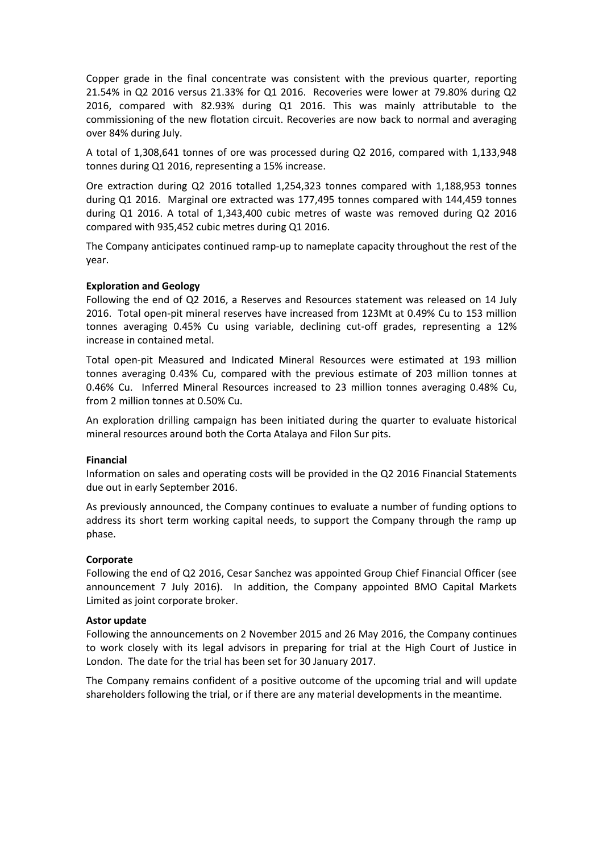Copper grade in the final concentrate was consistent with the previous quarter, reporting 21.54% in Q2 2016 versus 21.33% for Q1 2016. Recoveries were lower at 79.80% during Q2 2016, compared with 82.93% during Q1 2016. This was mainly attributable to the commissioning of the new flotation circuit. Recoveries are now back to normal and averaging over 84% during July.

A total of 1,308,641 tonnes of ore was processed during Q2 2016, compared with 1,133,948 tonnes during Q1 2016, representing a 15% increase.

Ore extraction during Q2 2016 totalled 1,254,323 tonnes compared with 1,188,953 tonnes during Q1 2016. Marginal ore extracted was 177,495 tonnes compared with 144,459 tonnes during Q1 2016. A total of 1,343,400 cubic metres of waste was removed during Q2 2016 compared with 935,452 cubic metres during Q1 2016.

The Company anticipates continued ramp-up to nameplate capacity throughout the rest of the year.

### **Exploration and Geology**

Following the end of Q2 2016, a Reserves and Resources statement was released on 14 July 2016. Total open-pit mineral reserves have increased from 123Mt at 0.49% Cu to 153 million tonnes averaging 0.45% Cu using variable, declining cut-off grades, representing a 12% increase in contained metal.

Total open-pit Measured and Indicated Mineral Resources were estimated at 193 million tonnes averaging 0.43% Cu, compared with the previous estimate of 203 million tonnes at 0.46% Cu. Inferred Mineral Resources increased to 23 million tonnes averaging 0.48% Cu, from 2 million tonnes at 0.50% Cu.

An exploration drilling campaign has been initiated during the quarter to evaluate historical mineral resources around both the Corta Atalaya and Filon Sur pits.

#### **Financial**

Information on sales and operating costs will be provided in the Q2 2016 Financial Statements due out in early September 2016.

As previously announced, the Company continues to evaluate a number of funding options to address its short term working capital needs, to support the Company through the ramp up phase.

## **Corporate**

Following the end of Q2 2016, Cesar Sanchez was appointed Group Chief Financial Officer (see announcement 7 July 2016). In addition, the Company appointed BMO Capital Markets Limited as joint corporate broker.

#### **Astor update**

Following the announcements on 2 November 2015 and 26 May 2016, the Company continues to work closely with its legal advisors in preparing for trial at the High Court of Justice in London. The date for the trial has been set for 30 January 2017.

The Company remains confident of a positive outcome of the upcoming trial and will update shareholders following the trial, or if there are any material developments in the meantime.